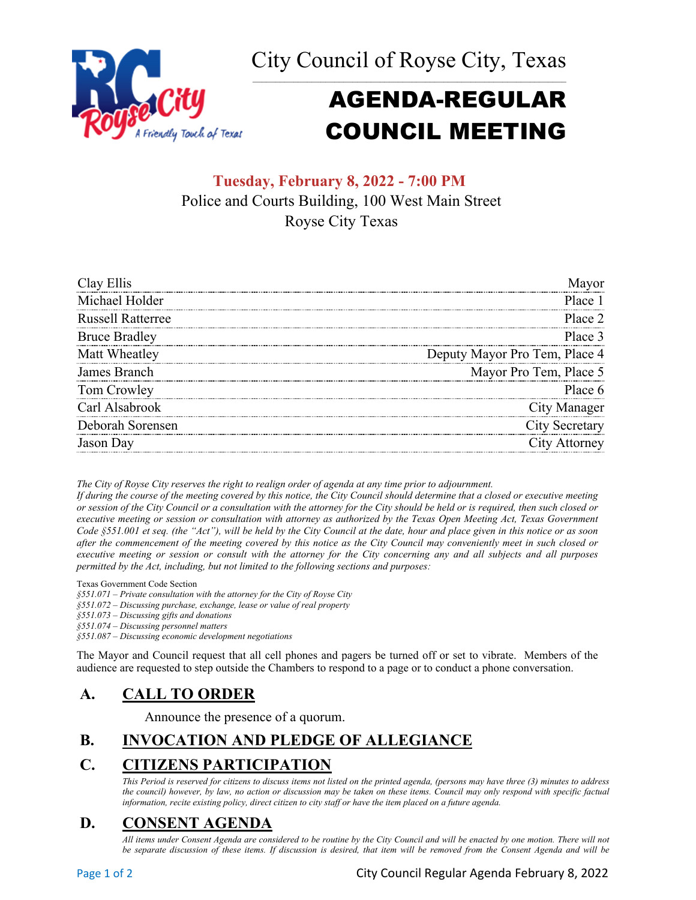City Council of Royse City, Texas



# AGENDA-REGULAR COUNCIL MEETING

# **Tuesday, February 8, 2022 - 7:00 PM** Police and Courts Building, 100 West Main Street Royse City Texas

| Clay Ellis               |                               |
|--------------------------|-------------------------------|
| Michael Holder           | Place 1                       |
| <b>Russell Ratterree</b> | Place 2                       |
| <b>Bruce Bradley</b>     | Place 3                       |
| Matt Wheatley            | Deputy Mayor Pro Tem, Place 4 |
| James Branch             | Mayor Pro Tem, Place 5        |
| Tom Crowley              | Place 6                       |
| Carl Alsabrook           | City Manager                  |
| Deborah Sorensen         | City Secretary                |
| Jason Dav                | ity Attorney                  |

*The City of Royse City reserves the right to realign order of agenda at any time prior to adjournment.*

*If during the course of the meeting covered by this notice, the City Council should determine that a closed or executive meeting or session of the City Council or a consultation with the attorney for the City should be held or is required, then such closed or executive meeting or session or consultation with attorney as authorized by the Texas Open Meeting Act, Texas Government Code §551.001 et seq. (the "Act"), will be held by the City Council at the date, hour and place given in this notice or as soon after the commencement of the meeting covered by this notice as the City Council may conveniently meet in such closed or executive meeting or session or consult with the attorney for the City concerning any and all subjects and all purposes permitted by the Act, including, but not limited to the following sections and purposes:*

Texas Government Code Section

*§551.071 – Private consultation with the attorney for the City of Royse City* 

*§551.072 – Discussing purchase, exchange, lease or value of real property* 

*§551.073 – Discussing gifts and donations*

*§551.074 – Discussing personnel matters*

*§551.087 – Discussing economic development negotiations*

The Mayor and Council request that all cell phones and pagers be turned off or set to vibrate. Members of the audience are requested to step outside the Chambers to respond to a page or to conduct a phone conversation.

## **A. CALL TO ORDER**

Announce the presence of a quorum.

# **B. INVOCATION AND PLEDGE OF ALLEGIANCE**

# **C. CITIZENS PARTICIPATION**

*This Period is reserved for citizens to discuss items not listed on the printed agenda, (persons may have three (3) minutes to address the council) however, by law, no action or discussion may be taken on these items. Council may only respond with specific factual information, recite existing policy, direct citizen to city staff or have the item placed on a future agenda.*

# **D. CONSENT AGENDA**

*All items under Consent Agenda are considered to be routine by the City Council and will be enacted by one motion. There will not*  be separate discussion of these items. If discussion is desired, that item will be removed from the Consent Agenda and will be